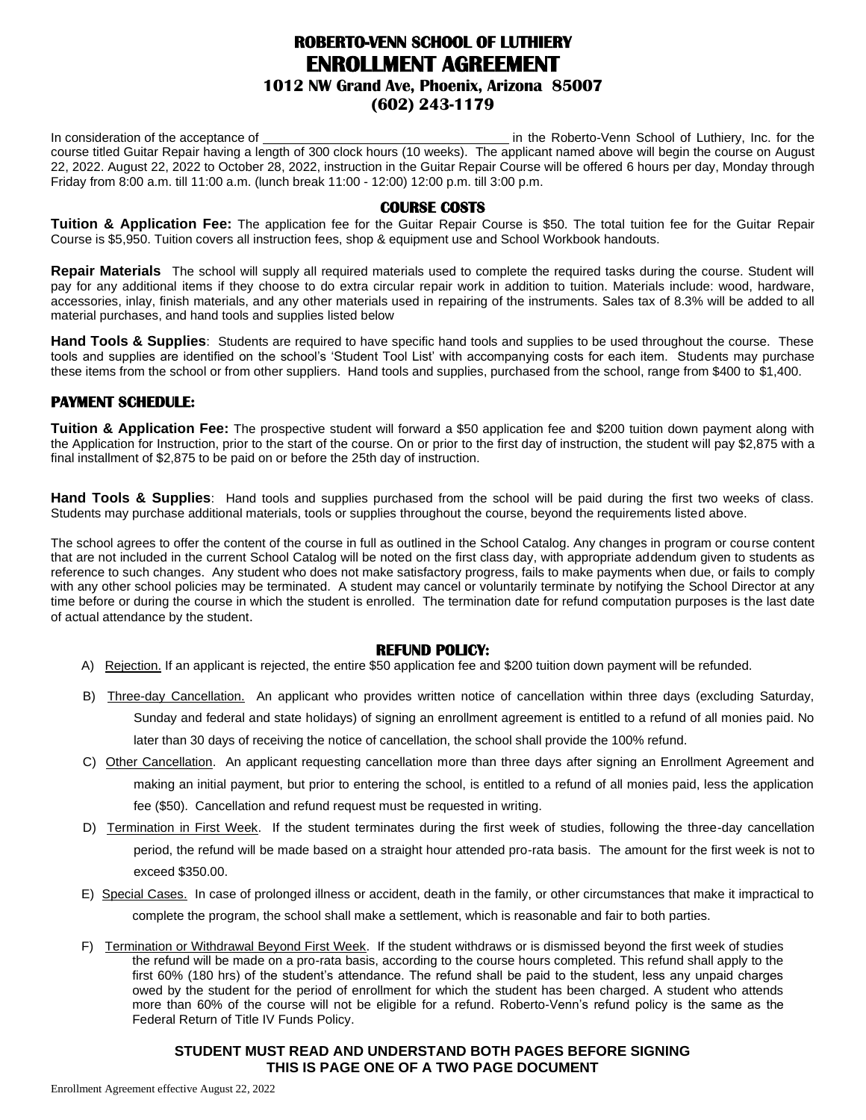# **ROBERTO-VENN SCHOOL OF LUTHIERY ENROLLMENT AGREEMENT**

# **1012 NW Grand Ave, Phoenix, Arizona 85007**

## **(602) 243-1179**

In consideration of the acceptance of in the Roberto-Venn School of Luthiery, Inc. for the course titled Guitar Repair having a length of 300 clock hours (10 weeks). The applicant named above will begin the course on August 22, 2022. August 22, 2022 to October 28, 2022, instruction in the Guitar Repair Course will be offered 6 hours per day, Monday through Friday from 8:00 a.m. till 11:00 a.m. (lunch break 11:00 - 12:00) 12:00 p.m. till 3:00 p.m.

#### **COURSE COSTS**

**Tuition & Application Fee:** The application fee for the Guitar Repair Course is \$50. The total tuition fee for the Guitar Repair Course is \$5,950. Tuition covers all instruction fees, shop & equipment use and School Workbook handouts.

**Repair Materials** The school will supply all required materials used to complete the required tasks during the course. Student will pay for any additional items if they choose to do extra circular repair work in addition to tuition. Materials include: wood, hardware, accessories, inlay, finish materials, and any other materials used in repairing of the instruments. Sales tax of 8.3% will be added to all material purchases, and hand tools and supplies listed below

**Hand Tools & Supplies**: Students are required to have specific hand tools and supplies to be used throughout the course. These tools and supplies are identified on the school's 'Student Tool List' with accompanying costs for each item. Students may purchase these items from the school or from other suppliers. Hand tools and supplies, purchased from the school, range from \$400 to \$1,400.

## **PAYMENT SCHEDULE:**

**Tuition & Application Fee:** The prospective student will forward a \$50 application fee and \$200 tuition down payment along with the Application for Instruction, prior to the start of the course. On or prior to the first day of instruction, the student will pay \$2,875 with a final installment of \$2,875 to be paid on or before the 25th day of instruction.

**Hand Tools & Supplies**: Hand tools and supplies purchased from the school will be paid during the first two weeks of class. Students may purchase additional materials, tools or supplies throughout the course, beyond the requirements listed above.

The school agrees to offer the content of the course in full as outlined in the School Catalog. Any changes in program or course content that are not included in the current School Catalog will be noted on the first class day, with appropriate addendum given to students as reference to such changes. Any student who does not make satisfactory progress, fails to make payments when due, or fails to comply with any other school policies may be terminated. A student may cancel or voluntarily terminate by notifying the School Director at any time before or during the course in which the student is enrolled. The termination date for refund computation purposes is the last date of actual attendance by the student.

#### **REFUND POLICY:**

- A) Rejection. If an applicant is rejected, the entire \$50 application fee and \$200 tuition down payment will be refunded.
- B) Three-day Cancellation. An applicant who provides written notice of cancellation within three days (excluding Saturday, Sunday and federal and state holidays) of signing an enrollment agreement is entitled to a refund of all monies paid. No later than 30 days of receiving the notice of cancellation, the school shall provide the 100% refund.
- C) Other Cancellation. An applicant requesting cancellation more than three days after signing an Enrollment Agreement and making an initial payment, but prior to entering the school, is entitled to a refund of all monies paid, less the application fee (\$50). Cancellation and refund request must be requested in writing.
- D) Termination in First Week. If the student terminates during the first week of studies, following the three-day cancellation period, the refund will be made based on a straight hour attended pro-rata basis. The amount for the first week is not to exceed \$350.00.
- E) Special Cases. In case of prolonged illness or accident, death in the family, or other circumstances that make it impractical to complete the program, the school shall make a settlement, which is reasonable and fair to both parties.
- F) Termination or Withdrawal Beyond First Week. If the student withdraws or is dismissed beyond the first week of studies the refund will be made on a pro-rata basis, according to the course hours completed. This refund shall apply to the first 60% (180 hrs) of the student's attendance. The refund shall be paid to the student, less any unpaid charges owed by the student for the period of enrollment for which the student has been charged. A student who attends more than 60% of the course will not be eligible for a refund. Roberto-Venn's refund policy is the same as the Federal Return of Title IV Funds Policy.

## **STUDENT MUST READ AND UNDERSTAND BOTH PAGES BEFORE SIGNING THIS IS PAGE ONE OF A TWO PAGE DOCUMENT**